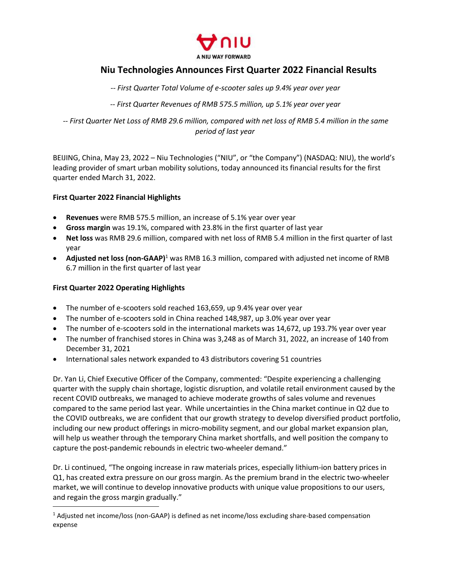

# **Niu Technologies Announces First Quarter 2022 Financial Results**

*-- First Quarter Total Volume of e-scooter sales up 9.4% year over year*

*-- First Quarter Revenues of RMB 575.5 million, up 5.1% year over year*

-- First Quarter Net Loss of RMB 29.6 million, compared with net loss of RMB 5.4 million in the same *period of last year*

BEIJING, China, May 23, 2022 – Niu Technologies ("NIU", or "the Company") (NASDAQ: NIU), the world's leading provider of smart urban mobility solutions, today announced its financial results for the first quarter ended March 31, 2022.

## **First Quarter 2022 Financial Highlights**

- **Revenues** were RMB 575.5 million, an increase of 5.1% year over year
- **Gross margin** was 19.1%, compared with 23.8% in the first quarter of last year
- **Net loss** was RMB 29.6 million, compared with netloss of RMB 5.4 million in the first quarter of last year
- **Adjusted net loss (non-GAAP)**[1](#page-0-0) was RMB 16.3 million, compared with adjusted net income of RMB 6.7 million in the first quarter of last year

## **First Quarter 2022 Operating Highlights**

- The number of e-scooters sold reached 163,659, up 9.4% year over year
- The number of e-scooters sold in China reached 148,987, up 3.0% year over year
- The number of e-scooters sold in the international markets was 14,672, up 193.7% year over year
- The number of franchised stores in China was 3,248 as of March 31, 2022, an increase of 140 from December 31, 2021
- International sales network expanded to 43 distributors covering 51 countries

Dr. Yan Li, Chief Executive Officer of the Company, commented: "Despite experiencing a challenging quarter with the supply chain shortage, logistic disruption, and volatile retail environment caused by the recent COVID outbreaks, we managed to achieve moderate growths of sales volume and revenues compared to the same period last year. While uncertainties in the China market continue in Q2 due to the COVID outbreaks, we are confident that our growth strategy to develop diversified product portfolio, including our new product offerings in micro-mobility segment, and our global market expansion plan, will help us weather through the temporary China market shortfalls, and well position the company to capture the post-pandemic rebounds in electric two-wheeler demand."

Dr. Li continued, "The ongoing increase in raw materials prices, especially lithium-ion battery prices in Q1, has created extra pressure on our gross margin. As the premium brand in the electric two-wheeler market, we will continue to develop innovative products with unique value propositions to our users, and regain the gross margin gradually."

<span id="page-0-0"></span><sup>1</sup> Adjusted net income/loss (non-GAAP) is defined as net income/loss excluding share-based compensation expense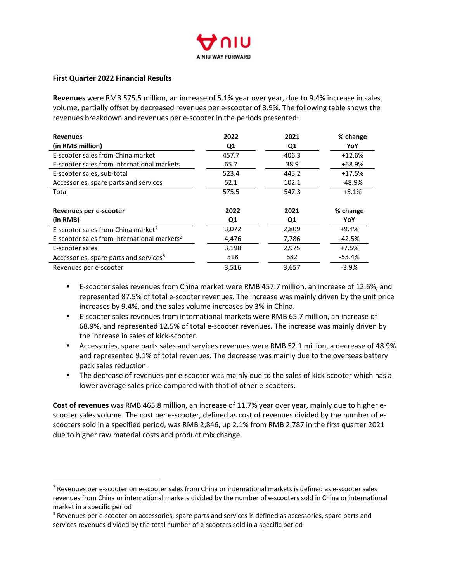

## **First Quarter 2022 Financial Results**

**Revenues** were RMB 575.5 million, an increase of 5.1% year over year, due to 9.4% increase in sales volume, partially offset by decreased revenues per e-scooter of 3.9%. The following table shows the revenues breakdown and revenues per e-scooter in the periods presented:

| <b>Revenues</b>                                         | 2022           | 2021  | % change |
|---------------------------------------------------------|----------------|-------|----------|
| (in RMB million)                                        | Q1             | Q1    | YoY      |
| E-scooter sales from China market                       | 457.7          | 406.3 | $+12.6%$ |
| E-scooter sales from international markets              | 65.7           | 38.9  | +68.9%   |
| E-scooter sales, sub-total                              | 523.4          | 445.2 | $+17.5%$ |
| Accessories, spare parts and services                   | 52.1           | 102.1 | -48.9%   |
| Total                                                   | 575.5          | 547.3 | $+5.1%$  |
|                                                         |                |       |          |
| Revenues per e-scooter                                  | 2022           | 2021  | % change |
| (in RMB)                                                | Q <sub>1</sub> | Q1    | YoY      |
| E-scooter sales from China market <sup>2</sup>          | 3,072          | 2,809 | +9.4%    |
| E-scooter sales from international markets <sup>2</sup> | 4,476          | 7,786 | -42.5%   |
| E-scooter sales                                         | 3,198          | 2,975 | $+7.5%$  |
| Accessories, spare parts and services <sup>3</sup>      | 318            | 682   | -53.4%   |
| Revenues per e-scooter                                  | 3,516          | 3,657 | $-3.9%$  |

- E-scooter sales revenues from China market were RMB 457.7 million, an increase of 12.6%, and represented 87.5% of total e-scooter revenues. The increase was mainly driven by the unit price increases by 9.4%, and the sales volume increases by 3% in China.
- E-scooter sales revenues from international markets were RMB 65.7 million, an increase of 68.9%, and represented 12.5% of total e-scooter revenues. The increase was mainly driven by the increase in sales of kick-scooter.
- Accessories, spare parts sales and services revenues were RMB 52.1 million, a decrease of 48.9% and represented 9.1% of total revenues. The decrease was mainly due to the overseas battery pack sales reduction.
- The decrease of revenues per e-scooter was mainly due to the sales of kick-scooter which has a lower average sales price compared with that of other e-scooters.

**Cost of revenues** was RMB 465.8 million, an increase of 11.7% year over year, mainly due to higher e scooter sales volume. The cost per e-scooter, defined as cost of revenues divided by the number of e scooters sold in a specified period, was RMB 2,846, up 2.1% from RMB 2,787 in the first quarter 2021 due to higher raw material costs and product mix change.

<span id="page-1-0"></span><sup>2</sup> Revenues per e-scooter on e-scooter sales from China or international markets is defined as e-scooter sales revenues from China or international markets divided by the number of e-scooters sold in China or international market in a specific period

<span id="page-1-1"></span><sup>&</sup>lt;sup>3</sup> Revenues per e-scooter on accessories, spare parts and services is defined as accessories, spare parts and services revenues divided by the total number of e-scooters sold in a specific period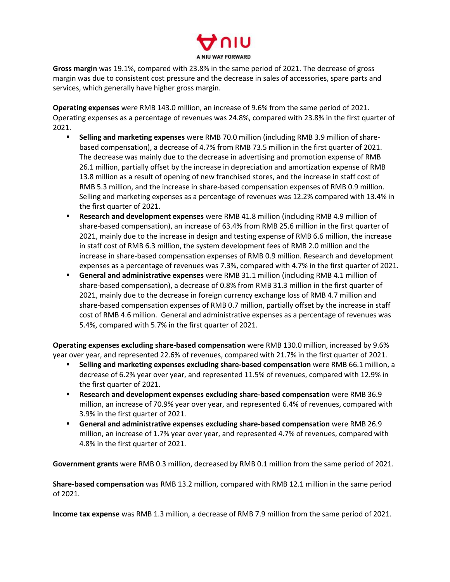

**Gross margin** was 19.1%, compared with 23.8% in the same period of 2021. The decrease of gross margin was due to consistent cost pressure and the decrease in sales of accessories, spare parts and services, which generally have higher gross margin.

**Operating expenses** were RMB 143.0 million, an increase of 9.6% from the same period of 2021.<br>Operating expenses as a percentage of revenues was 24.8%, compared with 23.8% in the first quarter of 2021.

- **Selling and marketing expenses** were RMB 70.0 million (including RMB 3.9 million of share based compensation), a decrease of 4.7% from RMB 73.5 million in the first quarter of 2021. The decrease was mainly due to the decrease in advertising and promotion expense of RMB 26.1 million, partially offset by the increase in depreciation and amortization expense of RMB 13.8 million as a result of opening of new franchised stores, and the increase in staff cost of RMB 5.3 million, and the increase in share-based compensation expenses of RMB 0.9 million. Selling and marketing expenses as a percentage of revenues was 12.2% compared with 13.4% in the first quarter of 2021.
- **Research and development expenses** were RMB 41.8 million (including RMB 4.9 million of share-based compensation), an increase of 63.4% from RMB 25.6 million in the first quarter of 2021, mainly due to the increase in design and testing expense of RMB 6.6 million, the increase in staff cost of RMB 6.3 million, the system development fees of RMB 2.0 million and the increase in share-based compensation expenses of RMB 0.9 million. Research and development expenses as a percentage of revenues was 7.3%, compared with 4.7% in the first quarter of 2021.
- **General and administrative expenses** were RMB 31.1 million (including RMB 4.1 million of share-based compensation), a decrease of 0.8% from RMB 31.3 million in the first quarter of 2021, mainly due to the decrease in foreign currency exchange loss of RMB 4.7 million and share-based compensation expenses of RMB 0.7 million, partially offset by the increase in staff cost of RMB 4.6 million. General and administrative expenses as a percentage of revenues was 5.4%, compared with 5.7% in the first quarter of 2021.

**Operating expenses excluding share-based compensation** were RMB 130.0 million, increased by 9.6% year over year, and represented 22.6% of revenues, compared with 21.7% in the first quarter of 2021.

- **Selling and marketing expenses excluding share-based compensation** were RMB 66.1 million, a decrease of 6.2% year over year, and represented 11.5% of revenues, compared with 12.9% in the first quarter of 2021.
- **Research and development expenses excluding share-based compensation** were RMB 36.9 million, an increase of 70.9% year over year, and represented 6.4% of revenues, compared with 3.9% in the first quarter of 2021.
- **General and administrative expenses excluding share-based compensation** were RMB 26.9 million, an increase of 1.7% year over year, and represented 4.7% of revenues, compared with 4.8% in the first quarter of 2021.

**Government grants** were RMB 0.3 million, decreased by RMB 0.1 million from the same period of 2021.

**Share-based compensation** was RMB 13.2 million, compared with RMB 12.1 million in the same period of 2021.

**Income tax expense** was RMB 1.3 million, a decrease of RMB 7.9 million from the same period of 2021.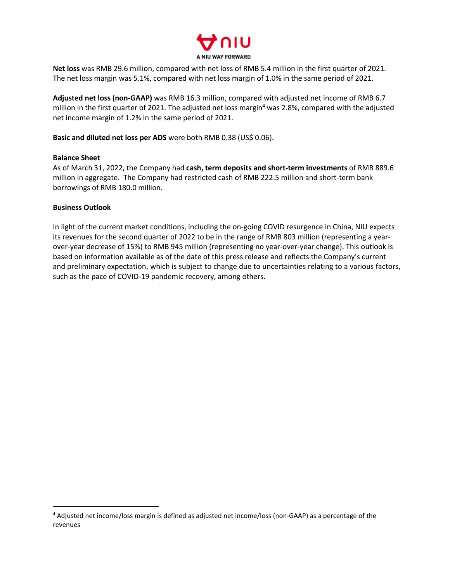

Net loss was RMB 29.6 million, compared with net loss of RMB 5.4 million in the first quarter of 2021. The net loss margin was 5.1%, compared with net loss margin of 1.0% in the same period of 2021.

**Adjusted net loss (non-GAAP)** was RMB 16.3 million, compared with adjusted net income of RMB 6.7 million in the first quarter of 2021. The adjusted net loss margin [4](#page-3-0) was 2.8%, compared with the adjusted net income margin of 1.2% in the same period of 2021.

**Basic and diluted net loss per ADS** were both RMB 0.38 (US\$ 0.06).

## **Balance Sheet**

As of March 31, 2022, the Company had **cash, term deposits and short-term investments** of RMB 889.6 million in aggregate. The Company had restricted cash of RMB 222.5 million and short-term bank borrowings of RMB 180.0 million.

## **Business Outlook**

In light of the current market conditions, including the on-going COVID resurgence in China, NIU expects its revenues for the second quarter of 2022 to be in the range of RMB 803 million (representing a yearover-year decrease of 15%) to RMB 945 million (representing no year-over-year change). This outlook is based on information available as of the date of this press release and reflects the Company's current and preliminary expectation, which is subject to change due to uncertainties relating to a various factors, such as the pace of COVID-19 pandemic recovery, among others.

<span id="page-3-0"></span><sup>4</sup> Adjusted net income/loss margin is defined as adjusted net income/loss (non-GAAP) as a percentage of the revenues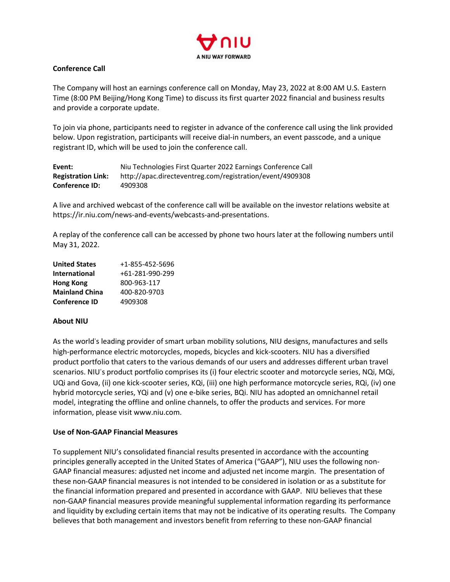

## **Conference Call**

The Company will host an earnings conference call on Monday, May 23, 2022 at 8:00 AM U.S. Eastern Time (8:00 PM Beijing/Hong Kong Time) to discuss its first quarter 2022 financial and business results and provide a corporate update.

To join via phone, participants need to register in advance of the conference call using the link provided below. Upon registration, participants will receive dial-in numbers, an event passcode, and a unique registrant ID, which will be used to join the conference call.

| Event:                    | Niu Technologies First Quarter 2022 Earnings Conference Call |
|---------------------------|--------------------------------------------------------------|
| <b>Registration Link:</b> | http://apac.directeventreg.com/registration/event/4909308    |
| <b>Conference ID:</b>     | 4909308                                                      |

A live and archived webcast of the conference call will be available on the investor relations website at https://ir.niu.com/news-and-events/webcasts-and-presentations.

A replay of the conference call can be accessed by phone two hourslater at the following numbers until May 31, 2022.

| <b>United States</b>  | +1-855-452-5696 |
|-----------------------|-----------------|
| <b>International</b>  | +61-281-990-299 |
| Hong Kong             | 800-963-117     |
| <b>Mainland China</b> | 400-820-9703    |
| <b>Conference ID</b>  | 4909308         |

#### **About NIU**

As the world's leading provider of smart urban mobility solutions, NIU designs, manufactures and sells high-performance electric motorcycles, mopeds, bicycles and kick-scooters. NIU has a diversified product portfolio that caters to the various demands of our users and addresses different urban travel scenarios. NIU's product portfolio comprises its (i) four electric scooter and motorcycle series, NQi, MQi, UQi and Gova, (ii) one kick-scooter series, KQi, (iii) one high performance motorcycle series, RQi, (iv) one hybrid motorcycle series, YQi and (v) one e-bike series, BQi. NIU has adopted an omnichannel retail model, integrating the offline and online channels, to offer the products and services. For more information, please visit www.niu.com.

#### **Use of Non-GAAP Financial Measures**

To supplement NIU's consolidated financial results presented in accordance with the accounting principles generally accepted in the United States of America ("GAAP"), NIU uses the following non- GAAP financial measures: adjusted net income and adjusted net income margin. The presentation of these non-GAAP financial measures is not intended to be considered in isolation or as a substitute for the financial information prepared and presented in accordance with GAAP. NIU believes that these non-GAAP financial measures provide meaningful supplemental information regarding its performance and liquidity by excluding certain items that may not be indicative of its operating results. The Company believes that both management and investors benefit from referring to these non-GAAP financial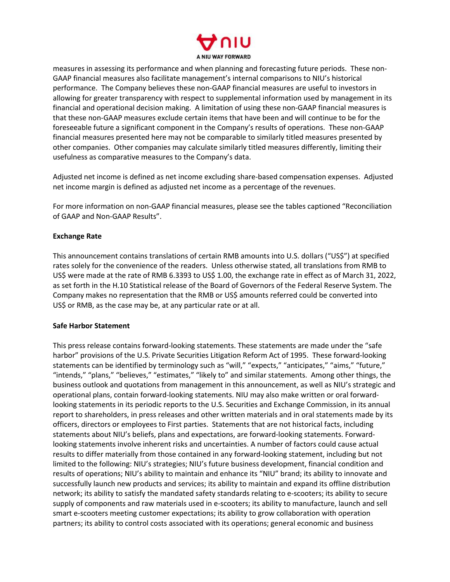

measures in assessing its performance and when planning and forecasting future periods. These non- GAAP financial measures also facilitate management's internal comparisons to NIU's historical performance. The Company believes these non-GAAP financial measures are useful to investors in allowing for greater transparency with respect to supplemental information used by management in its financial and operational decision making. A limitation of using these non-GAAP financial measures is that these non-GAAP measures exclude certain items that have been and will continue to be for the foreseeable future a significant component in the Company's results of operations. These non-GAAP financial measures presented here may not be comparable to similarly titled measures presented by other companies. Other companies may calculate similarly titled measures differently, limiting their usefulness as comparative measures to the Company's data.

Adjusted net income is defined as net income excluding share-based compensation expenses. Adjusted net income margin is defined as adjusted net income as a percentage of the revenues.

For more information on non-GAAP financial measures, please see the tables captioned "Reconciliation of GAAP and Non-GAAP Results".

## **Exchange Rate**

This announcement contains translations of certain RMB amounts into U.S. dollars ("US\$") at specified rates solely for the convenience of the readers. Unless otherwise stated, all translations from RMB to US\$ were made at the rate of RMB 6.3393 to US\$ 1.00, the exchange rate in effect as of March 31, 2022, as set forth in the H.10 Statistical release of the Board of Governors of the Federal Reserve System. The Company makes no representation that the RMB or US\$ amounts referred could be converted into US\$ or RMB, as the case may be, at any particular rate or at all.

#### **Safe Harbor Statement**

This press release contains forward-looking statements. These statements are made under the "safe harbor" provisions of the U.S. Private Securities Litigation Reform Act of 1995. These forward-looking statements can be identified by terminology such as "will," "expects," "anticipates," "aims," "future," "intends," "plans," "believes," "estimates," "likely to" and similar statements. Among other things, the business outlook and quotations from management in this announcement, as well as NIU's strategic and operational plans, contain forward-looking statements. NIU may also make written or oral forwardlooking statements in its periodic reports to the U.S. Securities and Exchange Commission, in its annual report to shareholders, in press releases and other written materials and in oral statements made by its officers, directors or employees to First parties. Statements that are not historical facts, including statements about NIU's beliefs, plans and expectations, are forward-looking statements. Forwardlooking statements involve inherent risks and uncertainties. A number of factors could cause actual results to differ materially from those contained in any forward-looking statement, including but not limited to the following: NIU's strategies; NIU's future business development, financial condition and results of operations; NIU's ability to maintain and enhance its "NIU" brand; its ability to innovate and successfully launch new products and services; its ability to maintain and expand its offline distribution network; its ability to satisfy the mandated safety standards relating to e-scooters; its ability to secure supply of components and raw materials used in e-scooters; its ability to manufacture, launch and sell smart e-scooters meeting customer expectations; its ability to grow collaboration with operation partners; its ability to control costs associated with its operations; general economic and business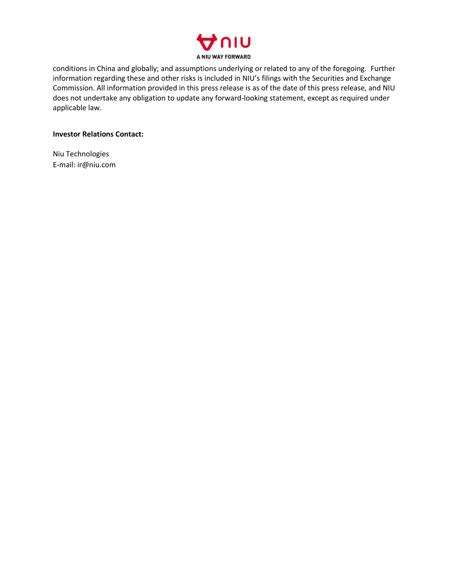

conditions in China and globally; and assumptions underlying or related to any of the foregoing. Further information regarding these and other risks is included in NIU's filings with the Securities and Exchange Commission. All information provided in this press release is as of the date of this press release, and NIU does not undertake any obligation to update any forward-looking statement, except as required under applicable law.

## **Investor Relations Contact:**

Niu Technologies E-mail: ir@niu.com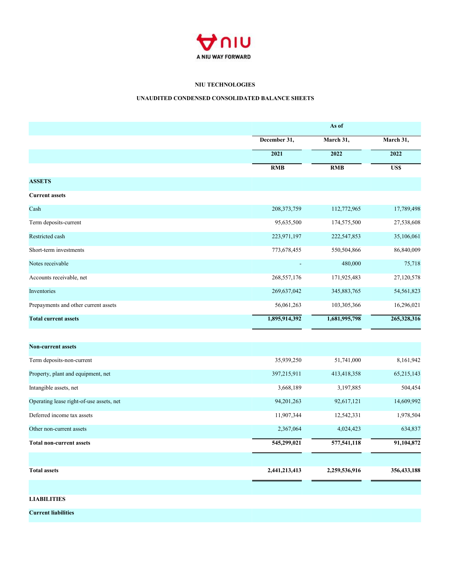

## **NIU TECHNOLOGIES**

## **UNAUDITED CONDENSED CONSOLIDATED BALANCE SHEETS**

|                                          |               | As of         |               |  |  |
|------------------------------------------|---------------|---------------|---------------|--|--|
|                                          | December 31,  | March 31,     | March 31,     |  |  |
|                                          | 2021          | 2022          | 2022          |  |  |
|                                          | RMB           | RMB           | <b>US\$</b>   |  |  |
| <b>ASSETS</b>                            |               |               |               |  |  |
| <b>Current assets</b>                    |               |               |               |  |  |
| Cash                                     | 208, 373, 759 | 112,772,965   | 17,789,498    |  |  |
| Term deposits-current                    | 95,635,500    | 174,575,500   | 27,538,608    |  |  |
| Restricted cash                          | 223,971,197   | 222,547,853   | 35,106,061    |  |  |
| Short-term investments                   | 773,678,455   | 550,504,866   | 86,840,009    |  |  |
| Notes receivable                         |               | 480,000       | 75,718        |  |  |
| Accounts receivable, net                 | 268,557,176   | 171,925,483   | 27,120,578    |  |  |
| Inventories                              | 269,637,042   | 345,883,765   | 54,561,823    |  |  |
| Prepayments and other current assets     | 56,061,263    | 103,305,366   | 16,296,021    |  |  |
| <b>Total current assets</b>              | 1,895,914,392 | 1,681,995,798 | 265,328,316   |  |  |
|                                          |               |               |               |  |  |
| Non-current assets                       |               |               |               |  |  |
| Term deposits-non-current                | 35,939,250    | 51,741,000    | 8,161,942     |  |  |
| Property, plant and equipment, net       | 397,215,911   | 413,418,358   | 65,215,143    |  |  |
| Intangible assets, net                   | 3,668,189     | 3,197,885     | 504,454       |  |  |
| Operating lease right-of-use assets, net | 94,201,263    | 92,617,121    | 14,609,992    |  |  |
| Deferred income tax assets               | 11,907,344    | 12,542,331    | 1,978,504     |  |  |
| Other non-current assets                 | 2,367,064     | 4,024,423     | 634,837       |  |  |
| <b>Total non-current assets</b>          | 545,299,021   | 577,541,118   | 91,104,872    |  |  |
|                                          |               |               |               |  |  |
| <b>Total assets</b>                      | 2,441,213,413 | 2,259,536,916 | 356, 433, 188 |  |  |
|                                          |               |               |               |  |  |
| <b>LIABILITIES</b>                       |               |               |               |  |  |
|                                          |               |               |               |  |  |

**Current liabilities**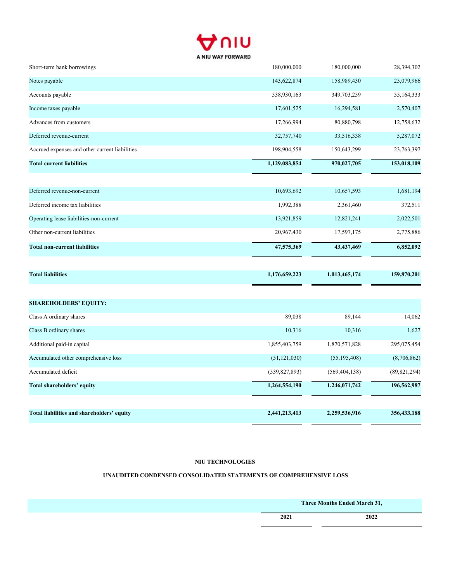

| Short-term bank borrowings                     | 180,000,000     | 180,000,000     | 28,394,302     |
|------------------------------------------------|-----------------|-----------------|----------------|
| Notes payable                                  | 143,622,874     | 158,989,430     | 25,079,966     |
| Accounts payable                               | 538,930,163     | 349,703,259     | 55,164,333     |
| Income taxes payable                           | 17,601,525      | 16,294,581      | 2,570,407      |
| Advances from customers                        | 17,266,994      | 80,880,798      | 12,758,632     |
| Deferred revenue-current                       | 32,757,740      | 33,516,338      | 5,287,072      |
| Accrued expenses and other current liabilities | 198,904,558     | 150,643,299     | 23,763,397     |
| <b>Total current liabilities</b>               | 1,129,083,854   | 970,027,705     | 153,018,109    |
| Deferred revenue-non-current                   | 10,693,692      | 10,657,593      | 1,681,194      |
| Deferred income tax liabilities                | 1,992,388       | 2,361,460       | 372,511        |
| Operating lease liabilities-non-current        | 13,921,859      | 12,821,241      | 2,022,501      |
| Other non-current liabilities                  | 20,967,430      | 17,597,175      | 2,775,886      |
| <b>Total non-current liabilities</b>           | 47,575,369      | 43,437,469      | 6,852,092      |
| <b>Total liabilities</b>                       | 1,176,659,223   | 1,013,465,174   | 159,870,201    |
| <b>SHAREHOLDERS' EQUITY:</b>                   |                 |                 |                |
| Class A ordinary shares                        | 89,038          | 89,144          | 14,062         |
| Class B ordinary shares                        | 10,316          | 10,316          | 1,627          |
| Additional paid-in capital                     | 1,855,403,759   | 1,870,571,828   | 295,075,454    |
| Accumulated other comprehensive loss           | (51, 121, 030)  | (55, 195, 408)  | (8,706,862)    |
| Accumulated deficit                            | (539, 827, 893) | (569, 404, 138) | (89, 821, 294) |
| Total shareholders' equity                     | 1,264,554,190   | 1,246,071,742   | 196,562,987    |
|                                                |                 |                 |                |
| Total liabilities and shareholders' equity     | 2,441,213,413   | 2,259,536,916   | 356,433,188    |

## **NIU TECHNOLOGIES**

# **UNAUDITED CONDENSED CONSOLIDATED STATEMENTS OF COMPREHENSIVE LOSS**

|      | Three Months Ended March 31, |
|------|------------------------------|
| 2021 | 2022                         |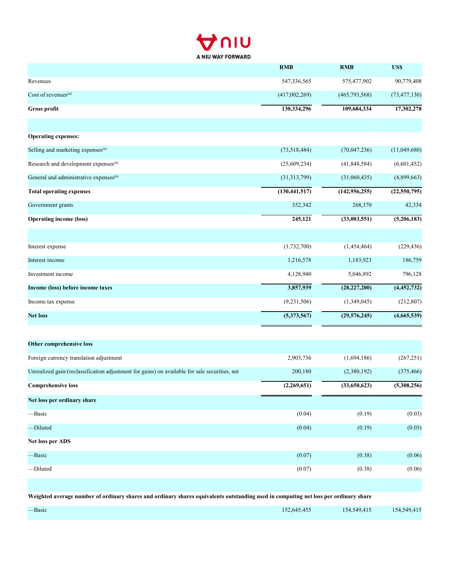

|                                                    | <b>RMB</b>      | <b>RMB</b>      | US\$                     |
|----------------------------------------------------|-----------------|-----------------|--------------------------|
| Revenues                                           | 547,336,565     | 575,477,902     | 90,779,408               |
| Cost of revenues <sup>(a)</sup>                    | (417,002,269)   | (465,793,568)   | (73, 477, 130)           |
| Gross profit                                       | 130,334,296     | 109,684,334     | 17,302,278               |
|                                                    |                 |                 |                          |
| <b>Operating expenses:</b>                         |                 |                 |                          |
| Selling and marketing expenses <sup>(a)</sup>      | (73,518,484)    | (70,047,236)    | (11,049,680)             |
| Research and development expenses <sup>(a)</sup>   | (25,609,234)    | (41,848,584)    | (6,601,452)              |
| General and administrative expenses <sup>(a)</sup> | (31,313,799)    | (31,060,435)    | (4,899,663)              |
| <b>Total operating expenses</b>                    | (130, 441, 517) | (142, 956, 255) | (22, 550, 795)           |
| Government grants                                  | 352,342         | 268,370         | 42,334                   |
| <b>Operating income (loss)</b>                     | 245,121         | (33,003,551)    | $\overline{(5,206,183)}$ |
|                                                    |                 |                 |                          |
| Interest expense                                   | (1,732,700)     | (1,454,464)     | (229, 436)               |
| Interest income                                    | 1,216,578       | 1,183,923       | 186,759                  |
| Investment income                                  | 4,128,940       | 5,046,892       | 796,128                  |
| Income (loss) before income taxes                  | 3,857,939       | (28, 227, 200)  | $\overline{(4,452,732)}$ |
| Income tax expense                                 | (9,231,506)     | (1,349,045)     | (212, 807)               |
| <b>Net loss</b>                                    | (5,373,567)     | (29, 576, 245)  | (4,665,539)              |
|                                                    |                 |                 |                          |

| Other comprehensive loss                                                                                                             |             |              |             |
|--------------------------------------------------------------------------------------------------------------------------------------|-------------|--------------|-------------|
| Foreign currency translation adjustment                                                                                              | 2,903,736   | (1,694,186)  | (267, 251)  |
| Unrealized gain/(reclassification adjustment for gains) on available for sale securities, net                                        | 200,180     | (2,380,192)  | (375, 466)  |
| <b>Comprehensive loss</b>                                                                                                            | (2,269,651) | (33,650,623) | (5,308,256) |
| Net loss per ordinary share                                                                                                          |             |              |             |
| -Basic                                                                                                                               | (0.04)      | (0.19)       | (0.03)      |
| -Diluted                                                                                                                             | (0.04)      | (0.19)       | (0.03)      |
| Net loss per ADS                                                                                                                     |             |              |             |
| -Basic                                                                                                                               | (0.07)      | (0.38)       | (0.06)      |
| -Diluted                                                                                                                             | (0.07)      | (0.38)       | (0.06)      |
|                                                                                                                                      |             |              |             |
| Weighted average number of ordinary shares and ordinary shares equivalents outstanding used in computing net loss per ordinary share |             |              |             |
|                                                                                                                                      |             |              |             |

—Basic 152,645,455 154,549,415 154,549,415